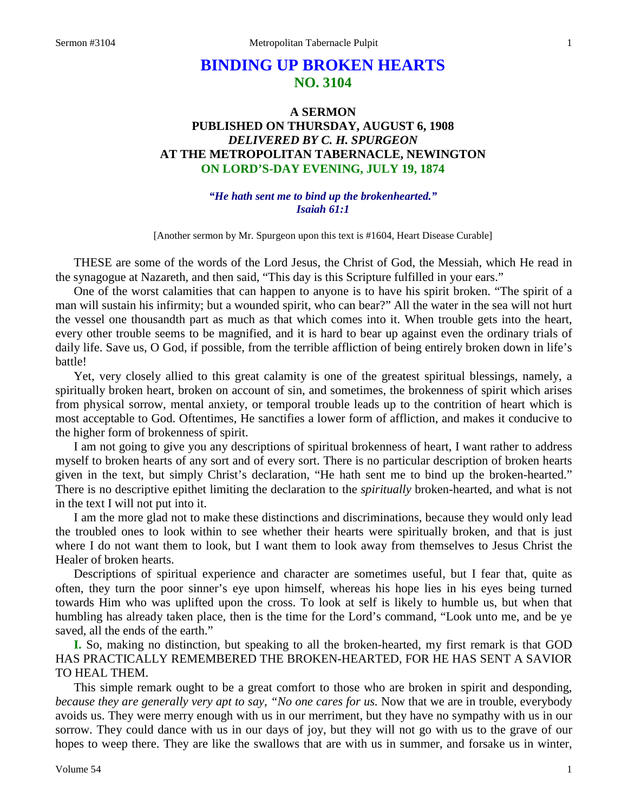# **BINDING UP BROKEN HEARTS NO. 3104**

## **A SERMON PUBLISHED ON THURSDAY, AUGUST 6, 1908** *DELIVERED BY C. H. SPURGEON* **AT THE METROPOLITAN TABERNACLE, NEWINGTON ON LORD'S-DAY EVENING, JULY 19, 1874**

#### *"He hath sent me to bind up the brokenhearted." Isaiah 61:1*

[Another sermon by Mr. Spurgeon upon this text is #1604, Heart Disease Curable]

THESE are some of the words of the Lord Jesus, the Christ of God, the Messiah, which He read in the synagogue at Nazareth, and then said, "This day is this Scripture fulfilled in your ears."

One of the worst calamities that can happen to anyone is to have his spirit broken. "The spirit of a man will sustain his infirmity; but a wounded spirit, who can bear?" All the water in the sea will not hurt the vessel one thousandth part as much as that which comes into it. When trouble gets into the heart, every other trouble seems to be magnified, and it is hard to bear up against even the ordinary trials of daily life. Save us, O God, if possible, from the terrible affliction of being entirely broken down in life's battle!

Yet, very closely allied to this great calamity is one of the greatest spiritual blessings, namely, a spiritually broken heart, broken on account of sin, and sometimes, the brokenness of spirit which arises from physical sorrow, mental anxiety, or temporal trouble leads up to the contrition of heart which is most acceptable to God. Oftentimes, He sanctifies a lower form of affliction, and makes it conducive to the higher form of brokenness of spirit.

I am not going to give you any descriptions of spiritual brokenness of heart, I want rather to address myself to broken hearts of any sort and of every sort. There is no particular description of broken hearts given in the text, but simply Christ's declaration, "He hath sent me to bind up the broken-hearted." There is no descriptive epithet limiting the declaration to the *spiritually* broken-hearted, and what is not in the text I will not put into it.

I am the more glad not to make these distinctions and discriminations, because they would only lead the troubled ones to look within to see whether their hearts were spiritually broken, and that is just where I do not want them to look, but I want them to look away from themselves to Jesus Christ the Healer of broken hearts.

Descriptions of spiritual experience and character are sometimes useful, but I fear that, quite as often, they turn the poor sinner's eye upon himself, whereas his hope lies in his eyes being turned towards Him who was uplifted upon the cross. To look at self is likely to humble us, but when that humbling has already taken place, then is the time for the Lord's command, "Look unto me, and be ye saved, all the ends of the earth."

**I.** So, making no distinction, but speaking to all the broken-hearted, my first remark is that GOD HAS PRACTICALLY REMEMBERED THE BROKEN-HEARTED, FOR HE HAS SENT A SAVIOR TO HEAL THEM.

This simple remark ought to be a great comfort to those who are broken in spirit and desponding, *because they are generally very apt to say, "No one cares for us.* Now that we are in trouble, everybody avoids us. They were merry enough with us in our merriment, but they have no sympathy with us in our sorrow. They could dance with us in our days of joy, but they will not go with us to the grave of our hopes to weep there. They are like the swallows that are with us in summer, and forsake us in winter,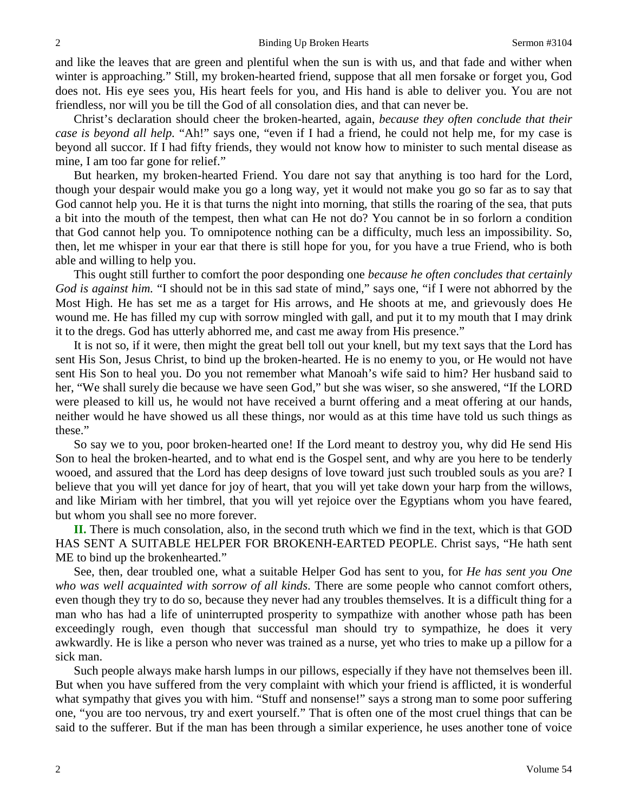and like the leaves that are green and plentiful when the sun is with us, and that fade and wither when winter is approaching." Still, my broken-hearted friend, suppose that all men forsake or forget you, God does not. His eye sees you, His heart feels for you, and His hand is able to deliver you. You are not friendless, nor will you be till the God of all consolation dies, and that can never be.

Christ's declaration should cheer the broken-hearted, again, *because they often conclude that their case is beyond all help.* "Ah!" says one, "even if I had a friend, he could not help me, for my case is beyond all succor. If I had fifty friends, they would not know how to minister to such mental disease as mine, I am too far gone for relief."

But hearken, my broken-hearted Friend. You dare not say that anything is too hard for the Lord, though your despair would make you go a long way, yet it would not make you go so far as to say that God cannot help you. He it is that turns the night into morning, that stills the roaring of the sea, that puts a bit into the mouth of the tempest, then what can He not do? You cannot be in so forlorn a condition that God cannot help you. To omnipotence nothing can be a difficulty, much less an impossibility. So, then, let me whisper in your ear that there is still hope for you, for you have a true Friend, who is both able and willing to help you.

This ought still further to comfort the poor desponding one *because he often concludes that certainly God is against him.* "I should not be in this sad state of mind," says one, "if I were not abhorred by the Most High. He has set me as a target for His arrows, and He shoots at me, and grievously does He wound me. He has filled my cup with sorrow mingled with gall, and put it to my mouth that I may drink it to the dregs. God has utterly abhorred me, and cast me away from His presence."

It is not so, if it were, then might the great bell toll out your knell, but my text says that the Lord has sent His Son, Jesus Christ, to bind up the broken-hearted. He is no enemy to you, or He would not have sent His Son to heal you. Do you not remember what Manoah's wife said to him? Her husband said to her, "We shall surely die because we have seen God," but she was wiser, so she answered, "If the LORD were pleased to kill us, he would not have received a burnt offering and a meat offering at our hands, neither would he have showed us all these things, nor would as at this time have told us such things as these."

So say we to you, poor broken-hearted one! If the Lord meant to destroy you, why did He send His Son to heal the broken-hearted, and to what end is the Gospel sent, and why are you here to be tenderly wooed, and assured that the Lord has deep designs of love toward just such troubled souls as you are? I believe that you will yet dance for joy of heart, that you will yet take down your harp from the willows, and like Miriam with her timbrel, that you will yet rejoice over the Egyptians whom you have feared, but whom you shall see no more forever.

**II.** There is much consolation, also, in the second truth which we find in the text, which is that GOD HAS SENT A SUITABLE HELPER FOR BROKENH-EARTED PEOPLE. Christ says, "He hath sent ME to bind up the brokenhearted."

See, then, dear troubled one, what a suitable Helper God has sent to you, for *He has sent you One who was well acquainted with sorrow of all kinds*. There are some people who cannot comfort others, even though they try to do so, because they never had any troubles themselves. It is a difficult thing for a man who has had a life of uninterrupted prosperity to sympathize with another whose path has been exceedingly rough, even though that successful man should try to sympathize, he does it very awkwardly. He is like a person who never was trained as a nurse, yet who tries to make up a pillow for a sick man.

Such people always make harsh lumps in our pillows, especially if they have not themselves been ill. But when you have suffered from the very complaint with which your friend is afflicted, it is wonderful what sympathy that gives you with him. "Stuff and nonsense!" says a strong man to some poor suffering one, "you are too nervous, try and exert yourself." That is often one of the most cruel things that can be said to the sufferer. But if the man has been through a similar experience, he uses another tone of voice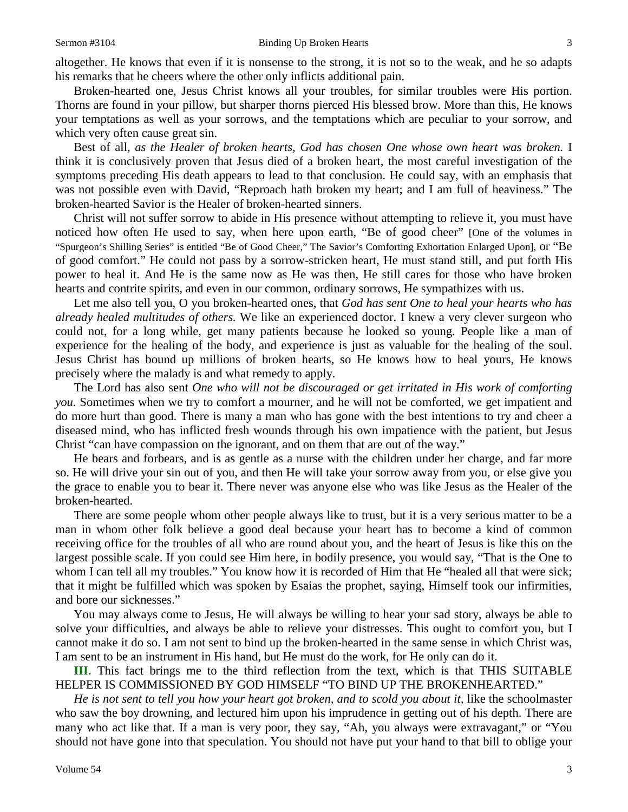altogether. He knows that even if it is nonsense to the strong, it is not so to the weak, and he so adapts his remarks that he cheers where the other only inflicts additional pain.

Broken-hearted one, Jesus Christ knows all your troubles, for similar troubles were His portion. Thorns are found in your pillow, but sharper thorns pierced His blessed brow. More than this, He knows your temptations as well as your sorrows, and the temptations which are peculiar to your sorrow, and which very often cause great sin.

Best of all, *as the Healer of broken hearts, God has chosen One whose own heart was broken*. I think it is conclusively proven that Jesus died of a broken heart, the most careful investigation of the symptoms preceding His death appears to lead to that conclusion. He could say, with an emphasis that was not possible even with David, "Reproach hath broken my heart; and I am full of heaviness." The broken-hearted Savior is the Healer of broken-hearted sinners.

Christ will not suffer sorrow to abide in His presence without attempting to relieve it, you must have noticed how often He used to say, when here upon earth, "Be of good cheer" [One of the volumes in "Spurgeon's Shilling Series" is entitled "Be of Good Cheer," The Savior's Comforting Exhortation Enlarged Upon], or "Be of good comfort." He could not pass by a sorrow-stricken heart, He must stand still, and put forth His power to heal it. And He is the same now as He was then, He still cares for those who have broken hearts and contrite spirits, and even in our common, ordinary sorrows, He sympathizes with us.

Let me also tell you, O you broken-hearted ones, that *God has sent One to heal your hearts who has already healed multitudes of others.* We like an experienced doctor. I knew a very clever surgeon who could not, for a long while, get many patients because he looked so young. People like a man of experience for the healing of the body, and experience is just as valuable for the healing of the soul. Jesus Christ has bound up millions of broken hearts, so He knows how to heal yours, He knows precisely where the malady is and what remedy to apply.

The Lord has also sent *One who will not be discouraged or get irritated in His work of comforting you.* Sometimes when we try to comfort a mourner, and he will not be comforted, we get impatient and do more hurt than good. There is many a man who has gone with the best intentions to try and cheer a diseased mind, who has inflicted fresh wounds through his own impatience with the patient, but Jesus Christ "can have compassion on the ignorant, and on them that are out of the way."

He bears and forbears, and is as gentle as a nurse with the children under her charge, and far more so. He will drive your sin out of you, and then He will take your sorrow away from you, or else give you the grace to enable you to bear it. There never was anyone else who was like Jesus as the Healer of the broken-hearted.

There are some people whom other people always like to trust, but it is a very serious matter to be a man in whom other folk believe a good deal because your heart has to become a kind of common receiving office for the troubles of all who are round about you, and the heart of Jesus is like this on the largest possible scale. If you could see Him here, in bodily presence, you would say, "That is the One to whom I can tell all my troubles." You know how it is recorded of Him that He "healed all that were sick; that it might be fulfilled which was spoken by Esaias the prophet, saying, Himself took our infirmities, and bore our sicknesses."

You may always come to Jesus, He will always be willing to hear your sad story, always be able to solve your difficulties, and always be able to relieve your distresses. This ought to comfort you, but I cannot make it do so. I am not sent to bind up the broken-hearted in the same sense in which Christ was, I am sent to be an instrument in His hand, but He must do the work, for He only can do it.

**III.** This fact brings me to the third reflection from the text, which is that THIS SUITABLE HELPER IS COMMISSIONED BY GOD HIMSELF "TO BIND UP THE BROKENHEARTED."

*He is not sent to tell you how your heart got broken, and to scold you about it,* like the schoolmaster who saw the boy drowning, and lectured him upon his imprudence in getting out of his depth. There are many who act like that. If a man is very poor, they say, "Ah, you always were extravagant," or "You should not have gone into that speculation. You should not have put your hand to that bill to oblige your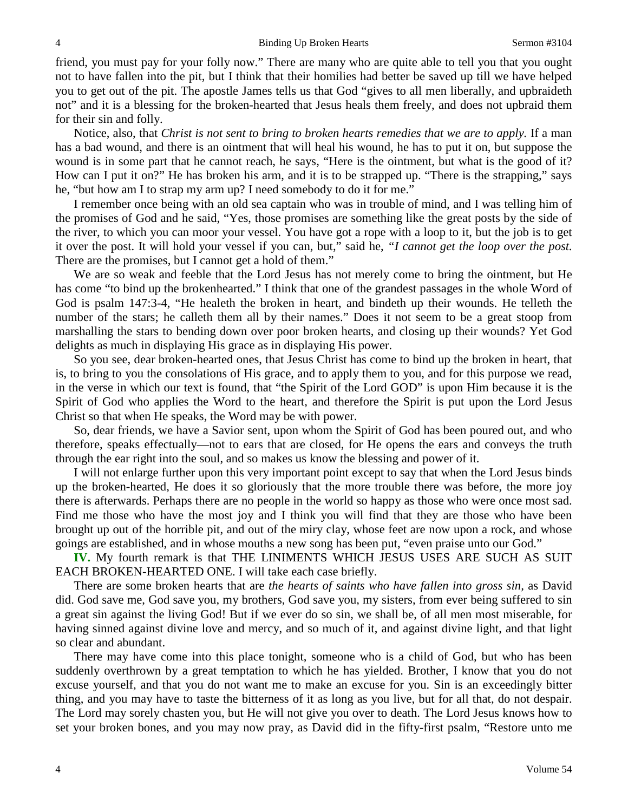friend, you must pay for your folly now." There are many who are quite able to tell you that you ought not to have fallen into the pit, but I think that their homilies had better be saved up till we have helped you to get out of the pit. The apostle James tells us that God "gives to all men liberally, and upbraideth not" and it is a blessing for the broken-hearted that Jesus heals them freely, and does not upbraid them for their sin and folly.

Notice, also, that *Christ is not sent to bring to broken hearts remedies that we are to apply.* If a man has a bad wound, and there is an ointment that will heal his wound, he has to put it on, but suppose the wound is in some part that he cannot reach, he says, "Here is the ointment, but what is the good of it? How can I put it on?" He has broken his arm, and it is to be strapped up. "There is the strapping," says he, "but how am I to strap my arm up? I need somebody to do it for me."

I remember once being with an old sea captain who was in trouble of mind, and I was telling him of the promises of God and he said, "Yes, those promises are something like the great posts by the side of the river, to which you can moor your vessel. You have got a rope with a loop to it, but the job is to get it over the post. It will hold your vessel if you can, but," said he, *"I cannot get the loop over the post.*  There are the promises, but I cannot get a hold of them."

We are so weak and feeble that the Lord Jesus has not merely come to bring the ointment, but He has come "to bind up the brokenhearted." I think that one of the grandest passages in the whole Word of God is psalm 147:3-4, "He healeth the broken in heart, and bindeth up their wounds. He telleth the number of the stars; he calleth them all by their names." Does it not seem to be a great stoop from marshalling the stars to bending down over poor broken hearts, and closing up their wounds? Yet God delights as much in displaying His grace as in displaying His power.

So you see, dear broken-hearted ones, that Jesus Christ has come to bind up the broken in heart, that is, to bring to you the consolations of His grace, and to apply them to you, and for this purpose we read, in the verse in which our text is found, that "the Spirit of the Lord GOD" is upon Him because it is the Spirit of God who applies the Word to the heart, and therefore the Spirit is put upon the Lord Jesus Christ so that when He speaks, the Word may be with power.

So, dear friends, we have a Savior sent, upon whom the Spirit of God has been poured out, and who therefore, speaks effectually—not to ears that are closed, for He opens the ears and conveys the truth through the ear right into the soul, and so makes us know the blessing and power of it.

I will not enlarge further upon this very important point except to say that when the Lord Jesus binds up the broken-hearted, He does it so gloriously that the more trouble there was before, the more joy there is afterwards. Perhaps there are no people in the world so happy as those who were once most sad. Find me those who have the most joy and I think you will find that they are those who have been brought up out of the horrible pit, and out of the miry clay, whose feet are now upon a rock, and whose goings are established, and in whose mouths a new song has been put, "even praise unto our God."

**IV.** My fourth remark is that THE LINIMENTS WHICH JESUS USES ARE SUCH AS SUIT EACH BROKEN-HEARTED ONE. I will take each case briefly.

There are some broken hearts that are *the hearts of saints who have fallen into gross sin,* as David did. God save me, God save you, my brothers, God save you, my sisters, from ever being suffered to sin a great sin against the living God! But if we ever do so sin, we shall be, of all men most miserable, for having sinned against divine love and mercy, and so much of it, and against divine light, and that light so clear and abundant.

There may have come into this place tonight, someone who is a child of God, but who has been suddenly overthrown by a great temptation to which he has yielded. Brother, I know that you do not excuse yourself, and that you do not want me to make an excuse for you. Sin is an exceedingly bitter thing, and you may have to taste the bitterness of it as long as you live, but for all that, do not despair. The Lord may sorely chasten you, but He will not give you over to death. The Lord Jesus knows how to set your broken bones, and you may now pray, as David did in the fifty-first psalm, "Restore unto me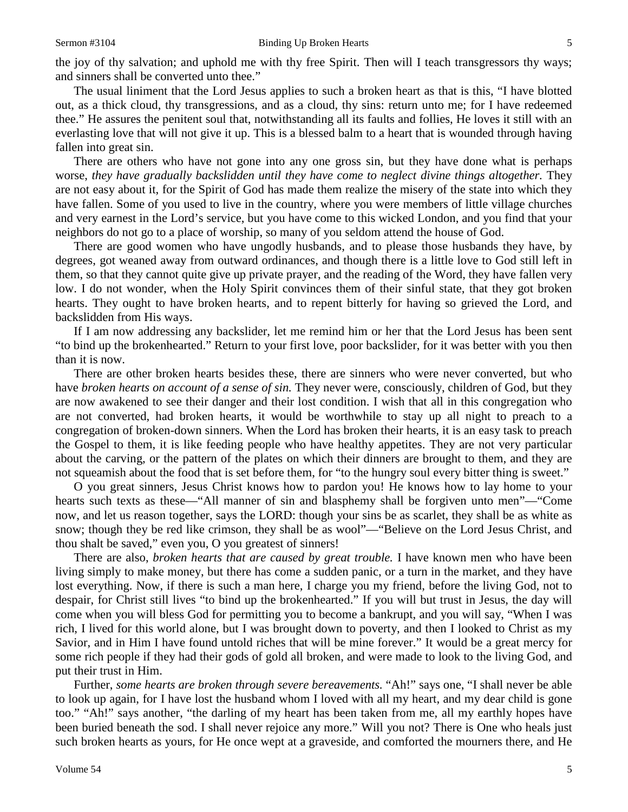the joy of thy salvation; and uphold me with thy free Spirit. Then will I teach transgressors thy ways; and sinners shall be converted unto thee."

The usual liniment that the Lord Jesus applies to such a broken heart as that is this, "I have blotted out, as a thick cloud, thy transgressions, and as a cloud, thy sins: return unto me; for I have redeemed thee." He assures the penitent soul that, notwithstanding all its faults and follies, He loves it still with an everlasting love that will not give it up. This is a blessed balm to a heart that is wounded through having fallen into great sin.

There are others who have not gone into any one gross sin, but they have done what is perhaps worse, *they have gradually backslidden until they have come to neglect divine things altogether.* They are not easy about it, for the Spirit of God has made them realize the misery of the state into which they have fallen. Some of you used to live in the country, where you were members of little village churches and very earnest in the Lord's service, but you have come to this wicked London, and you find that your neighbors do not go to a place of worship, so many of you seldom attend the house of God.

There are good women who have ungodly husbands, and to please those husbands they have, by degrees, got weaned away from outward ordinances, and though there is a little love to God still left in them, so that they cannot quite give up private prayer, and the reading of the Word, they have fallen very low. I do not wonder, when the Holy Spirit convinces them of their sinful state, that they got broken hearts. They ought to have broken hearts, and to repent bitterly for having so grieved the Lord, and backslidden from His ways.

If I am now addressing any backslider, let me remind him or her that the Lord Jesus has been sent "to bind up the brokenhearted." Return to your first love, poor backslider, for it was better with you then than it is now.

There are other broken hearts besides these, there are sinners who were never converted, but who have *broken hearts on account of a sense of sin.* They never were, consciously, children of God, but they are now awakened to see their danger and their lost condition. I wish that all in this congregation who are not converted, had broken hearts, it would be worthwhile to stay up all night to preach to a congregation of broken-down sinners. When the Lord has broken their hearts, it is an easy task to preach the Gospel to them, it is like feeding people who have healthy appetites. They are not very particular about the carving, or the pattern of the plates on which their dinners are brought to them, and they are not squeamish about the food that is set before them, for "to the hungry soul every bitter thing is sweet."

O you great sinners, Jesus Christ knows how to pardon you! He knows how to lay home to your hearts such texts as these—"All manner of sin and blasphemy shall be forgiven unto men"—"Come now, and let us reason together, says the LORD: though your sins be as scarlet, they shall be as white as snow; though they be red like crimson, they shall be as wool"—"Believe on the Lord Jesus Christ, and thou shalt be saved," even you, O you greatest of sinners!

There are also, *broken hearts that are caused by great trouble.* I have known men who have been living simply to make money, but there has come a sudden panic, or a turn in the market, and they have lost everything. Now, if there is such a man here, I charge you my friend, before the living God, not to despair, for Christ still lives "to bind up the brokenhearted." If you will but trust in Jesus, the day will come when you will bless God for permitting you to become a bankrupt, and you will say, "When I was rich, I lived for this world alone, but I was brought down to poverty, and then I looked to Christ as my Savior, and in Him I have found untold riches that will be mine forever." It would be a great mercy for some rich people if they had their gods of gold all broken, and were made to look to the living God, and put their trust in Him.

Further, *some hearts are broken through severe bereavements.* "Ah!" says one, "I shall never be able to look up again, for I have lost the husband whom I loved with all my heart, and my dear child is gone too." "Ah!" says another, "the darling of my heart has been taken from me, all my earthly hopes have been buried beneath the sod. I shall never rejoice any more." Will you not? There is One who heals just such broken hearts as yours, for He once wept at a graveside, and comforted the mourners there, and He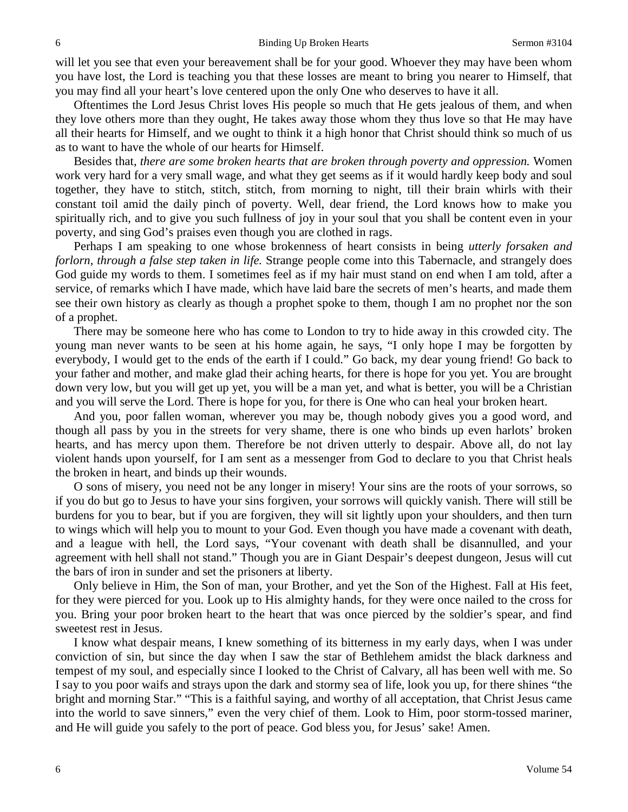will let you see that even your bereavement shall be for your good. Whoever they may have been whom you have lost, the Lord is teaching you that these losses are meant to bring you nearer to Himself, that you may find all your heart's love centered upon the only One who deserves to have it all.

Oftentimes the Lord Jesus Christ loves His people so much that He gets jealous of them, and when they love others more than they ought, He takes away those whom they thus love so that He may have all their hearts for Himself, and we ought to think it a high honor that Christ should think so much of us as to want to have the whole of our hearts for Himself.

Besides that, *there are some broken hearts that are broken through poverty and oppression.* Women work very hard for a very small wage, and what they get seems as if it would hardly keep body and soul together, they have to stitch, stitch, stitch, from morning to night, till their brain whirls with their constant toil amid the daily pinch of poverty. Well, dear friend, the Lord knows how to make you spiritually rich, and to give you such fullness of joy in your soul that you shall be content even in your poverty, and sing God's praises even though you are clothed in rags.

Perhaps I am speaking to one whose brokenness of heart consists in being *utterly forsaken and forlorn, through a false step taken in life.* Strange people come into this Tabernacle, and strangely does God guide my words to them. I sometimes feel as if my hair must stand on end when I am told, after a service, of remarks which I have made, which have laid bare the secrets of men's hearts, and made them see their own history as clearly as though a prophet spoke to them, though I am no prophet nor the son of a prophet.

There may be someone here who has come to London to try to hide away in this crowded city. The young man never wants to be seen at his home again, he says, "I only hope I may be forgotten by everybody, I would get to the ends of the earth if I could." Go back, my dear young friend! Go back to your father and mother, and make glad their aching hearts, for there is hope for you yet. You are brought down very low, but you will get up yet, you will be a man yet, and what is better, you will be a Christian and you will serve the Lord. There is hope for you, for there is One who can heal your broken heart.

And you, poor fallen woman, wherever you may be, though nobody gives you a good word, and though all pass by you in the streets for very shame, there is one who binds up even harlots' broken hearts, and has mercy upon them. Therefore be not driven utterly to despair. Above all, do not lay violent hands upon yourself, for I am sent as a messenger from God to declare to you that Christ heals the broken in heart, and binds up their wounds.

O sons of misery, you need not be any longer in misery! Your sins are the roots of your sorrows, so if you do but go to Jesus to have your sins forgiven, your sorrows will quickly vanish. There will still be burdens for you to bear, but if you are forgiven, they will sit lightly upon your shoulders, and then turn to wings which will help you to mount to your God. Even though you have made a covenant with death, and a league with hell, the Lord says, "Your covenant with death shall be disannulled, and your agreement with hell shall not stand." Though you are in Giant Despair's deepest dungeon, Jesus will cut the bars of iron in sunder and set the prisoners at liberty.

Only believe in Him, the Son of man, your Brother, and yet the Son of the Highest. Fall at His feet, for they were pierced for you. Look up to His almighty hands, for they were once nailed to the cross for you. Bring your poor broken heart to the heart that was once pierced by the soldier's spear, and find sweetest rest in Jesus.

I know what despair means, I knew something of its bitterness in my early days, when I was under conviction of sin, but since the day when I saw the star of Bethlehem amidst the black darkness and tempest of my soul, and especially since I looked to the Christ of Calvary, all has been well with me. So I say to you poor waifs and strays upon the dark and stormy sea of life, look you up, for there shines "the bright and morning Star." "This is a faithful saying, and worthy of all acceptation, that Christ Jesus came into the world to save sinners," even the very chief of them. Look to Him, poor storm-tossed mariner, and He will guide you safely to the port of peace. God bless you, for Jesus' sake! Amen.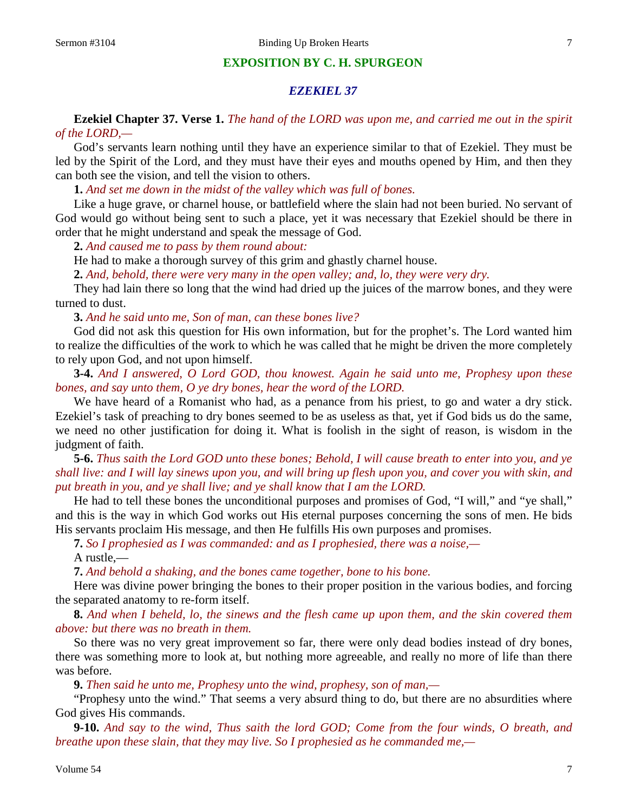#### **EXPOSITION BY C. H. SPURGEON**

## *EZEKIEL 37*

### **Ezekiel Chapter 37. Verse 1.** *The hand of the LORD was upon me, and carried me out in the spirit of the LORD,—*

God's servants learn nothing until they have an experience similar to that of Ezekiel. They must be led by the Spirit of the Lord, and they must have their eyes and mouths opened by Him, and then they can both see the vision, and tell the vision to others.

**1.** *And set me down in the midst of the valley which was full of bones.*

Like a huge grave, or charnel house, or battlefield where the slain had not been buried. No servant of God would go without being sent to such a place, yet it was necessary that Ezekiel should be there in order that he might understand and speak the message of God.

**2.** *And caused me to pass by them round about:*

He had to make a thorough survey of this grim and ghastly charnel house.

**2.** *And, behold, there were very many in the open valley; and, lo, they were very dry.*

They had lain there so long that the wind had dried up the juices of the marrow bones, and they were turned to dust.

**3.** *And he said unto me, Son of man, can these bones live?*

God did not ask this question for His own information, but for the prophet's. The Lord wanted him to realize the difficulties of the work to which he was called that he might be driven the more completely to rely upon God, and not upon himself.

**3-4.** *And I answered, O Lord GOD, thou knowest. Again he said unto me, Prophesy upon these bones, and say unto them, O ye dry bones, hear the word of the LORD.*

We have heard of a Romanist who had, as a penance from his priest, to go and water a dry stick. Ezekiel's task of preaching to dry bones seemed to be as useless as that, yet if God bids us do the same, we need no other justification for doing it. What is foolish in the sight of reason, is wisdom in the judgment of faith.

**5-6.** *Thus saith the Lord GOD unto these bones; Behold, I will cause breath to enter into you, and ye shall live: and I will lay sinews upon you, and will bring up flesh upon you, and cover you with skin, and put breath in you, and ye shall live; and ye shall know that I am the LORD.*

He had to tell these bones the unconditional purposes and promises of God, "I will," and "ye shall," and this is the way in which God works out His eternal purposes concerning the sons of men. He bids His servants proclaim His message, and then He fulfills His own purposes and promises.

**7.** *So I prophesied as I was commanded: and as I prophesied, there was a noise,—* A rustle,—

**7.** *And behold a shaking, and the bones came together, bone to his bone.*

Here was divine power bringing the bones to their proper position in the various bodies, and forcing the separated anatomy to re-form itself.

**8.** *And when I beheld, lo, the sinews and the flesh came up upon them, and the skin covered them above: but there was no breath in them.*

So there was no very great improvement so far, there were only dead bodies instead of dry bones, there was something more to look at, but nothing more agreeable, and really no more of life than there was before.

**9.** *Then said he unto me, Prophesy unto the wind, prophesy, son of man,—*

"Prophesy unto the wind." That seems a very absurd thing to do, but there are no absurdities where God gives His commands.

**9-10.** *And say to the wind, Thus saith the lord GOD; Come from the four winds, O breath, and breathe upon these slain, that they may live. So I prophesied as he commanded me,—*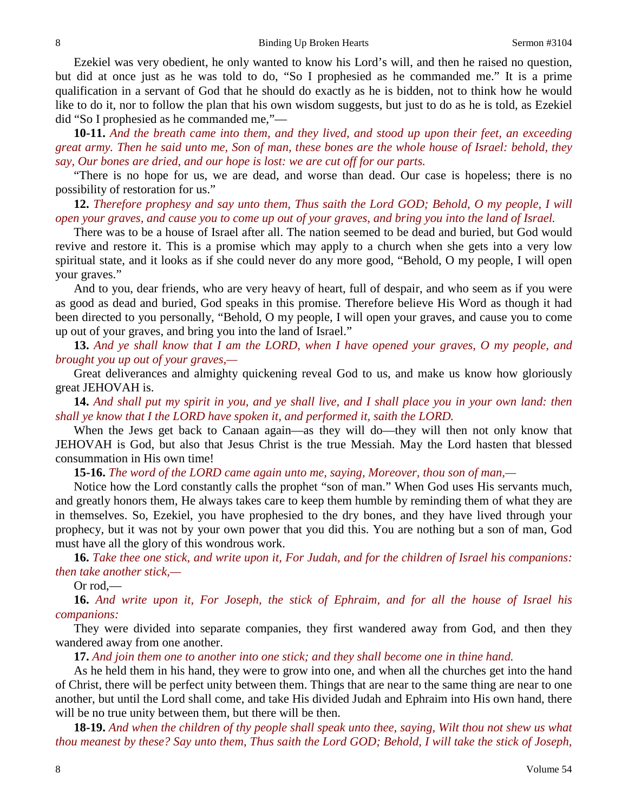Ezekiel was very obedient, he only wanted to know his Lord's will, and then he raised no question, but did at once just as he was told to do, "So I prophesied as he commanded me." It is a prime qualification in a servant of God that he should do exactly as he is bidden, not to think how he would like to do it, nor to follow the plan that his own wisdom suggests, but just to do as he is told, as Ezekiel did "So I prophesied as he commanded me,"—

**10-11.** *And the breath came into them, and they lived, and stood up upon their feet, an exceeding great army. Then he said unto me, Son of man, these bones are the whole house of Israel: behold, they say, Our bones are dried, and our hope is lost: we are cut off for our parts.*

"There is no hope for us, we are dead, and worse than dead. Our case is hopeless; there is no possibility of restoration for us."

**12.** *Therefore prophesy and say unto them, Thus saith the Lord GOD; Behold, O my people, I will open your graves, and cause you to come up out of your graves, and bring you into the land of Israel.*

There was to be a house of Israel after all. The nation seemed to be dead and buried, but God would revive and restore it. This is a promise which may apply to a church when she gets into a very low spiritual state, and it looks as if she could never do any more good, "Behold, O my people, I will open your graves."

And to you, dear friends, who are very heavy of heart, full of despair, and who seem as if you were as good as dead and buried, God speaks in this promise. Therefore believe His Word as though it had been directed to you personally, "Behold, O my people, I will open your graves, and cause you to come up out of your graves, and bring you into the land of Israel."

**13.** *And ye shall know that I am the LORD, when I have opened your graves, O my people, and brought you up out of your graves,—*

Great deliverances and almighty quickening reveal God to us, and make us know how gloriously great JEHOVAH is.

**14.** *And shall put my spirit in you, and ye shall live, and I shall place you in your own land: then shall ye know that I the LORD have spoken it, and performed it, saith the LORD.*

When the Jews get back to Canaan again—as they will do—they will then not only know that JEHOVAH is God, but also that Jesus Christ is the true Messiah. May the Lord hasten that blessed consummation in His own time!

**15-16.** *The word of the LORD came again unto me, saying, Moreover, thou son of man,—*

Notice how the Lord constantly calls the prophet "son of man." When God uses His servants much, and greatly honors them, He always takes care to keep them humble by reminding them of what they are in themselves. So, Ezekiel, you have prophesied to the dry bones, and they have lived through your prophecy, but it was not by your own power that you did this. You are nothing but a son of man, God must have all the glory of this wondrous work.

**16.** *Take thee one stick, and write upon it, For Judah, and for the children of Israel his companions: then take another stick,—*

Or rod,—

**16.** *And write upon it, For Joseph, the stick of Ephraim, and for all the house of Israel his companions:*

They were divided into separate companies, they first wandered away from God, and then they wandered away from one another.

**17.** *And join them one to another into one stick; and they shall become one in thine hand.*

As he held them in his hand, they were to grow into one, and when all the churches get into the hand of Christ, there will be perfect unity between them. Things that are near to the same thing are near to one another, but until the Lord shall come, and take His divided Judah and Ephraim into His own hand, there will be no true unity between them, but there will be then.

**18-19.** *And when the children of thy people shall speak unto thee, saying, Wilt thou not shew us what thou meanest by these? Say unto them, Thus saith the Lord GOD; Behold, I will take the stick of Joseph,*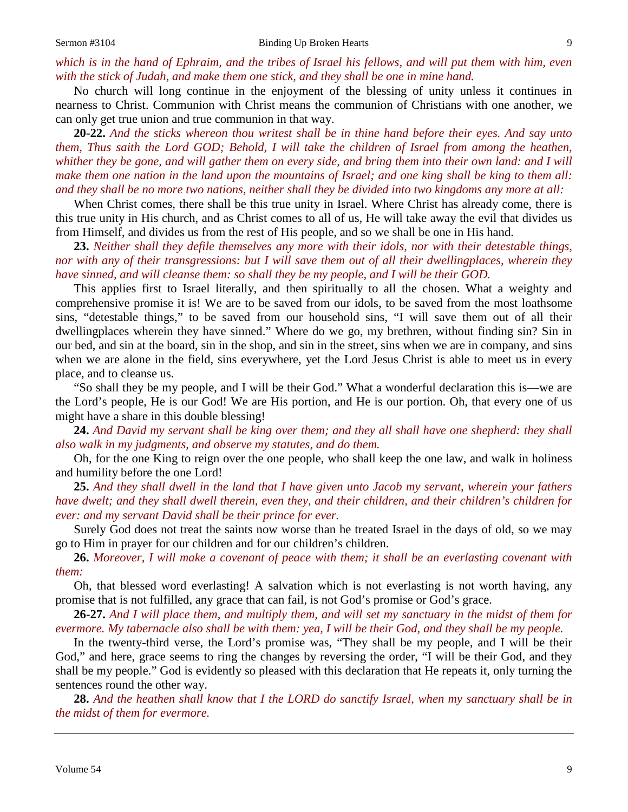*which is in the hand of Ephraim, and the tribes of Israel his fellows, and will put them with him, even with the stick of Judah, and make them one stick, and they shall be one in mine hand.*

No church will long continue in the enjoyment of the blessing of unity unless it continues in nearness to Christ. Communion with Christ means the communion of Christians with one another, we can only get true union and true communion in that way.

**20-22.** *And the sticks whereon thou writest shall be in thine hand before their eyes. And say unto them, Thus saith the Lord GOD; Behold, I will take the children of Israel from among the heathen, whither they be gone, and will gather them on every side, and bring them into their own land: and I will make them one nation in the land upon the mountains of Israel; and one king shall be king to them all: and they shall be no more two nations, neither shall they be divided into two kingdoms any more at all:*

When Christ comes, there shall be this true unity in Israel. Where Christ has already come, there is this true unity in His church, and as Christ comes to all of us, He will take away the evil that divides us from Himself, and divides us from the rest of His people, and so we shall be one in His hand.

**23.** *Neither shall they defile themselves any more with their idols, nor with their detestable things, nor with any of their transgressions: but I will save them out of all their dwellingplaces, wherein they have sinned, and will cleanse them: so shall they be my people, and I will be their GOD.*

This applies first to Israel literally, and then spiritually to all the chosen. What a weighty and comprehensive promise it is! We are to be saved from our idols, to be saved from the most loathsome sins, "detestable things," to be saved from our household sins, "I will save them out of all their dwellingplaces wherein they have sinned." Where do we go, my brethren, without finding sin? Sin in our bed, and sin at the board, sin in the shop, and sin in the street, sins when we are in company, and sins when we are alone in the field, sins everywhere, yet the Lord Jesus Christ is able to meet us in every place, and to cleanse us.

"So shall they be my people, and I will be their God." What a wonderful declaration this is—we are the Lord's people, He is our God! We are His portion, and He is our portion. Oh, that every one of us might have a share in this double blessing!

**24.** *And David my servant shall be king over them; and they all shall have one shepherd: they shall also walk in my judgments, and observe my statutes, and do them.*

Oh, for the one King to reign over the one people, who shall keep the one law, and walk in holiness and humility before the one Lord!

**25.** *And they shall dwell in the land that I have given unto Jacob my servant, wherein your fathers have dwelt; and they shall dwell therein, even they, and their children, and their children's children for ever: and my servant David shall be their prince for ever.*

Surely God does not treat the saints now worse than he treated Israel in the days of old, so we may go to Him in prayer for our children and for our children's children.

**26.** *Moreover, I will make a covenant of peace with them; it shall be an everlasting covenant with them:*

Oh, that blessed word everlasting! A salvation which is not everlasting is not worth having, any promise that is not fulfilled, any grace that can fail, is not God's promise or God's grace.

**26-27.** *And I will place them, and multiply them, and will set my sanctuary in the midst of them for evermore. My tabernacle also shall be with them: yea, I will be their God, and they shall be my people.*

In the twenty-third verse, the Lord's promise was, "They shall be my people, and I will be their God," and here, grace seems to ring the changes by reversing the order, "I will be their God, and they shall be my people." God is evidently so pleased with this declaration that He repeats it, only turning the sentences round the other way.

**28.** *And the heathen shall know that I the LORD do sanctify Israel, when my sanctuary shall be in the midst of them for evermore.*